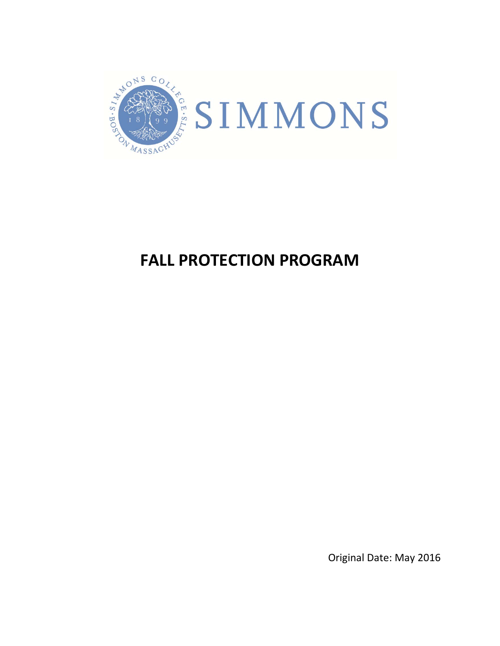

# **FALL PROTECTION PROGRAM**

Original Date: May 2016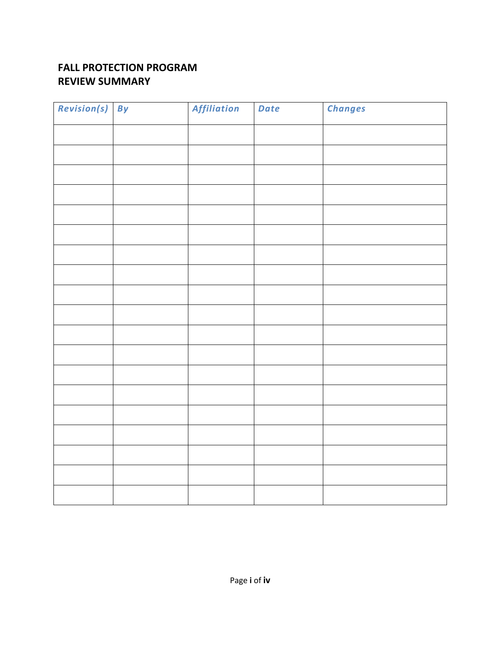## **FALL PROTECTION PROGRAM REVIEW SUMMARY**

| Revision(s) By | Affiliation | Date | <b>Changes</b> |
|----------------|-------------|------|----------------|
|                |             |      |                |
|                |             |      |                |
|                |             |      |                |
|                |             |      |                |
|                |             |      |                |
|                |             |      |                |
|                |             |      |                |
|                |             |      |                |
|                |             |      |                |
|                |             |      |                |
|                |             |      |                |
|                |             |      |                |
|                |             |      |                |
|                |             |      |                |
|                |             |      |                |
|                |             |      |                |
|                |             |      |                |
|                |             |      |                |
|                |             |      |                |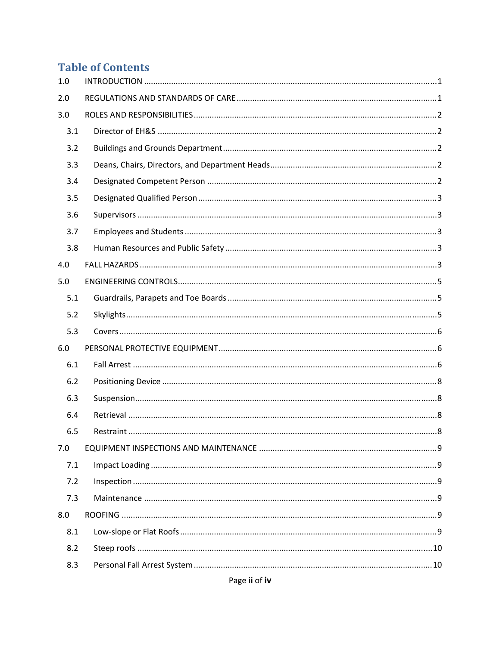# **Table of Contents**

| 1.0 |  |
|-----|--|
| 2.0 |  |
| 3.0 |  |
| 3.1 |  |
| 3.2 |  |
| 3.3 |  |
| 3.4 |  |
| 3.5 |  |
| 3.6 |  |
| 3.7 |  |
| 3.8 |  |
| 4.0 |  |
| 5.0 |  |
| 5.1 |  |
| 5.2 |  |
| 5.3 |  |
| 6.0 |  |
| 6.1 |  |
| 6.2 |  |
| 6.3 |  |
| 6.4 |  |
| 6.5 |  |
| 7.0 |  |
| 7.1 |  |
| 7.2 |  |
| 7.3 |  |
| 8.0 |  |
| 8.1 |  |
| 8.2 |  |
| 8.3 |  |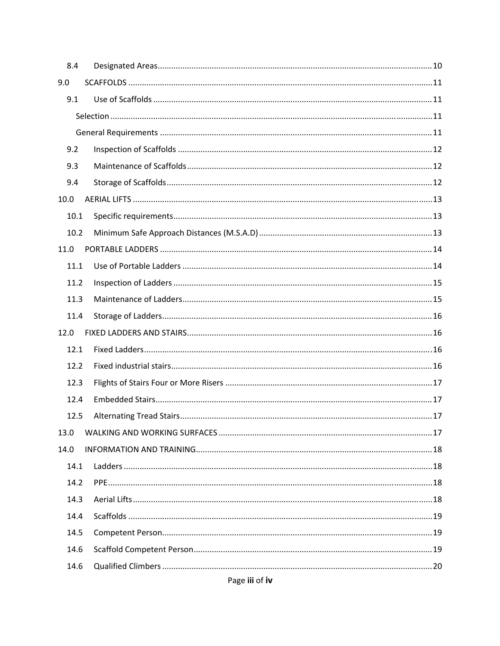| 8.4  |  |
|------|--|
| 9.0  |  |
| 9.1  |  |
|      |  |
|      |  |
| 9.2  |  |
| 9.3  |  |
| 9.4  |  |
| 10.0 |  |
| 10.1 |  |
| 10.2 |  |
| 11.0 |  |
| 11.1 |  |
| 11.2 |  |
| 11.3 |  |
| 11.4 |  |
| 12.0 |  |
| 12.1 |  |
| 12.2 |  |
| 12.3 |  |
| 12.4 |  |
| 12.5 |  |
| 13.0 |  |
| 14.0 |  |
| 14.1 |  |
| 14.2 |  |
| 14.3 |  |
| 14.4 |  |
| 14.5 |  |
| 14.6 |  |
| 14.6 |  |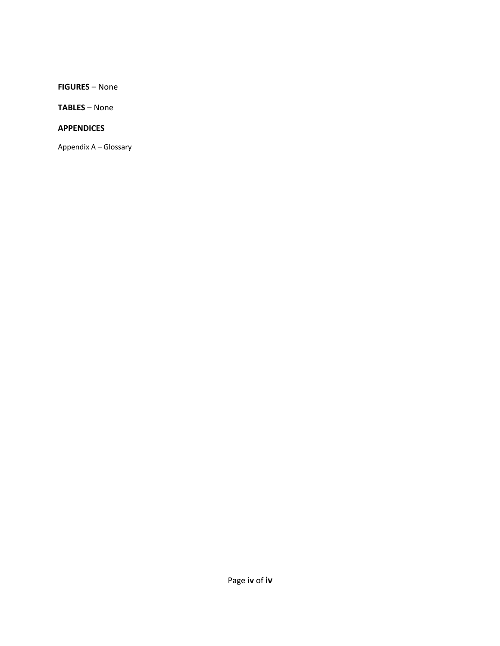**FIGURES** – None

**TABLES** – None

#### **APPENDICES**

Appendix A – Glossary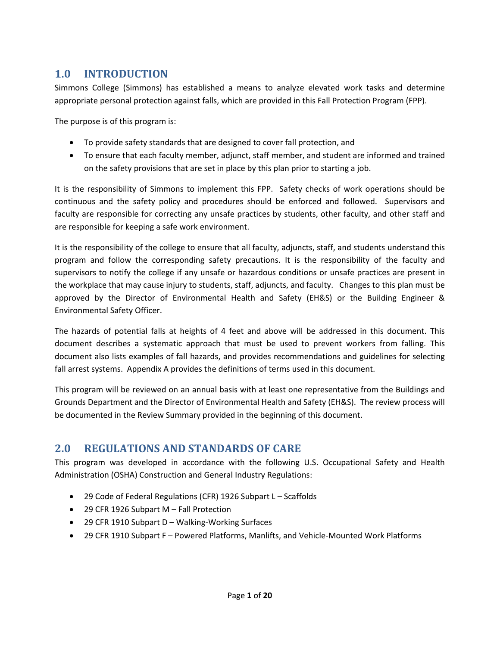## **1.0 INTRODUCTION**

Simmons College (Simmons) has established a means to analyze elevated work tasks and determine appropriate personal protection against falls, which are provided in this Fall Protection Program (FPP).

The purpose is of this program is:

- To provide safety standards that are designed to cover fall protection, and
- To ensure that each faculty member, adjunct, staff member, and student are informed and trained on the safety provisions that are set in place by this plan prior to starting a job.

It is the responsibility of Simmons to implement this FPP. Safety checks of work operations should be continuous and the safety policy and procedures should be enforced and followed. Supervisors and faculty are responsible for correcting any unsafe practices by students, other faculty, and other staff and are responsible for keeping a safe work environment.

It is the responsibility of the college to ensure that all faculty, adjuncts, staff, and students understand this program and follow the corresponding safety precautions. It is the responsibility of the faculty and supervisors to notify the college if any unsafe or hazardous conditions or unsafe practices are present in the workplace that may cause injury to students, staff, adjuncts, and faculty. Changes to this plan must be approved by the Director of Environmental Health and Safety (EH&S) or the Building Engineer & Environmental Safety Officer.

The hazards of potential falls at heights of 4 feet and above will be addressed in this document. This document describes a systematic approach that must be used to prevent workers from falling. This document also lists examples of fall hazards, and provides recommendations and guidelines for selecting fall arrest systems. Appendix A provides the definitions of terms used in this document.

This program will be reviewed on an annual basis with at least one representative from the Buildings and Grounds Department and the Director of Environmental Health and Safety (EH&S). The review process will be documented in the Review Summary provided in the beginning of this document.

### **2.0 REGULATIONS AND STANDARDS OF CARE**

This program was developed in accordance with the following U.S. Occupational Safety and Health Administration (OSHA) Construction and General Industry Regulations:

- 29 Code of Federal Regulations (CFR) 1926 Subpart L Scaffolds
- 29 CFR 1926 Subpart M Fall Protection
- 29 CFR 1910 Subpart D Walking-Working Surfaces
- 29 CFR 1910 Subpart F Powered Platforms, Manlifts, and Vehicle-Mounted Work Platforms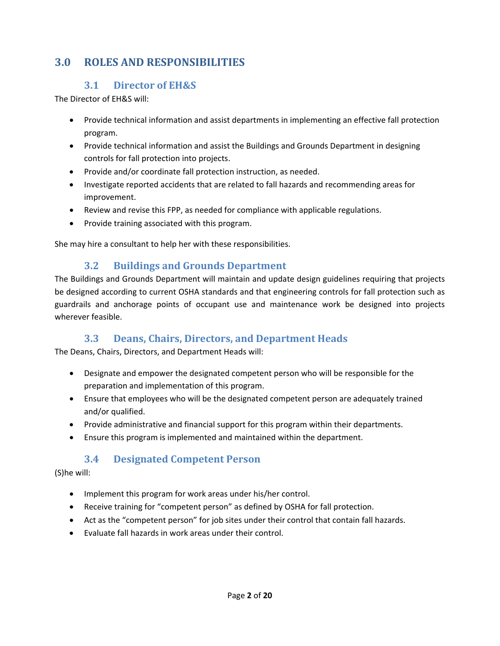# **3.0 ROLES AND RESPONSIBILITIES**

#### **3.1 Director of EH&S**

The Director of EH&S will:

- Provide technical information and assist departments in implementing an effective fall protection program.
- Provide technical information and assist the Buildings and Grounds Department in designing controls for fall protection into projects.
- Provide and/or coordinate fall protection instruction, as needed.
- Investigate reported accidents that are related to fall hazards and recommending areas for improvement.
- Review and revise this FPP, as needed for compliance with applicable regulations.
- Provide training associated with this program.

She may hire a consultant to help her with these responsibilities.

#### **3.2 Buildings and Grounds Department**

The Buildings and Grounds Department will maintain and update design guidelines requiring that projects be designed according to current OSHA standards and that engineering controls for fall protection such as guardrails and anchorage points of occupant use and maintenance work be designed into projects wherever feasible.

#### **3.3 Deans, Chairs, Directors, and Department Heads**

The Deans, Chairs, Directors, and Department Heads will:

- Designate and empower the designated competent person who will be responsible for the preparation and implementation of this program.
- Ensure that employees who will be the designated competent person are adequately trained and/or qualified.
- Provide administrative and financial support for this program within their departments.
- Ensure this program is implemented and maintained within the department.

#### **3.4 Designated Competent Person**

#### (S)he will:

- Implement this program for work areas under his/her control.
- Receive training for "competent person" as defined by OSHA for fall protection.
- Act as the "competent person" for job sites under their control that contain fall hazards.
- Evaluate fall hazards in work areas under their control.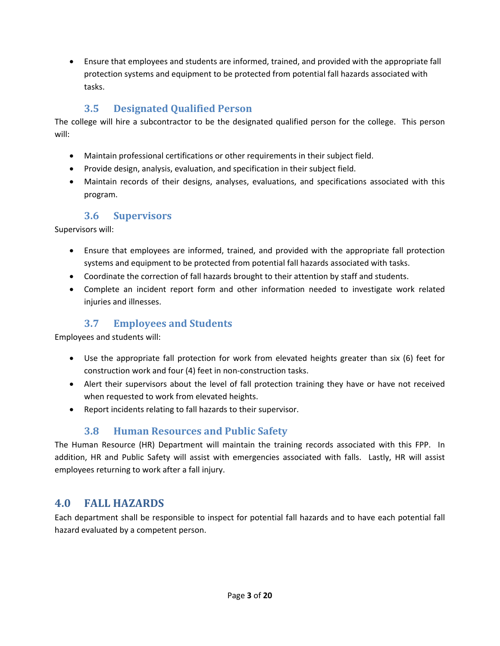Ensure that employees and students are informed, trained, and provided with the appropriate fall protection systems and equipment to be protected from potential fall hazards associated with tasks.

#### **3.5 Designated Qualified Person**

The college will hire a subcontractor to be the designated qualified person for the college. This person will:

- Maintain professional certifications or other requirements in their subject field.
- Provide design, analysis, evaluation, and specification in their subject field.
- Maintain records of their designs, analyses, evaluations, and specifications associated with this program.

#### **3.6 Supervisors**

Supervisors will:

- Ensure that employees are informed, trained, and provided with the appropriate fall protection systems and equipment to be protected from potential fall hazards associated with tasks.
- Coordinate the correction of fall hazards brought to their attention by staff and students.
- Complete an incident report form and other information needed to investigate work related injuries and illnesses.

### **3.7 Employees and Students**

Employees and students will:

- Use the appropriate fall protection for work from elevated heights greater than six (6) feet for construction work and four (4) feet in non‐construction tasks.
- Alert their supervisors about the level of fall protection training they have or have not received when requested to work from elevated heights.
- Report incidents relating to fall hazards to their supervisor.

### **3.8 Human Resources and Public Safety**

The Human Resource (HR) Department will maintain the training records associated with this FPP. In addition, HR and Public Safety will assist with emergencies associated with falls. Lastly, HR will assist employees returning to work after a fall injury.

### **4.0 FALL HAZARDS**

Each department shall be responsible to inspect for potential fall hazards and to have each potential fall hazard evaluated by a competent person.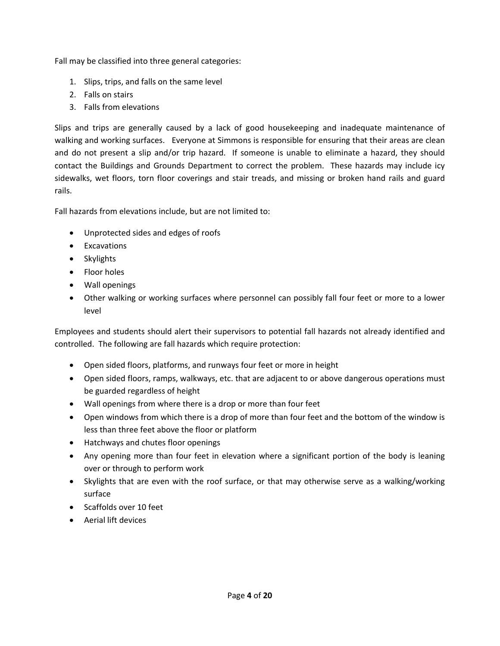Fall may be classified into three general categories:

- 1. Slips, trips, and falls on the same level
- 2. Falls on stairs
- 3. Falls from elevations

Slips and trips are generally caused by a lack of good housekeeping and inadequate maintenance of walking and working surfaces. Everyone at Simmons is responsible for ensuring that their areas are clean and do not present a slip and/or trip hazard. If someone is unable to eliminate a hazard, they should contact the Buildings and Grounds Department to correct the problem. These hazards may include icy sidewalks, wet floors, torn floor coverings and stair treads, and missing or broken hand rails and guard rails.

Fall hazards from elevations include, but are not limited to:

- Unprotected sides and edges of roofs
- Excavations
- Skylights
- Floor holes
- Wall openings
- Other walking or working surfaces where personnel can possibly fall four feet or more to a lower level

Employees and students should alert their supervisors to potential fall hazards not already identified and controlled. The following are fall hazards which require protection:

- Open sided floors, platforms, and runways four feet or more in height
- Open sided floors, ramps, walkways, etc. that are adjacent to or above dangerous operations must be guarded regardless of height
- Wall openings from where there is a drop or more than four feet
- Open windows from which there is a drop of more than four feet and the bottom of the window is less than three feet above the floor or platform
- Hatchways and chutes floor openings
- Any opening more than four feet in elevation where a significant portion of the body is leaning over or through to perform work
- Skylights that are even with the roof surface, or that may otherwise serve as a walking/working surface
- Scaffolds over 10 feet
- Aerial lift devices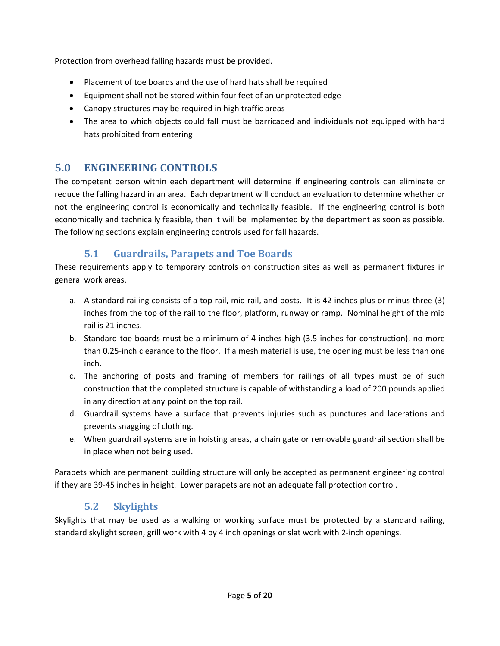Protection from overhead falling hazards must be provided.

- Placement of toe boards and the use of hard hats shall be required
- Equipment shall not be stored within four feet of an unprotected edge
- Canopy structures may be required in high traffic areas
- The area to which objects could fall must be barricaded and individuals not equipped with hard hats prohibited from entering

# **5.0 ENGINEERING CONTROLS**

The competent person within each department will determine if engineering controls can eliminate or reduce the falling hazard in an area. Each department will conduct an evaluation to determine whether or not the engineering control is economically and technically feasible. If the engineering control is both economically and technically feasible, then it will be implemented by the department as soon as possible. The following sections explain engineering controls used for fall hazards.

### **5.1 Guardrails, Parapets and Toe Boards**

These requirements apply to temporary controls on construction sites as well as permanent fixtures in general work areas.

- a. A standard railing consists of a top rail, mid rail, and posts. It is 42 inches plus or minus three (3) inches from the top of the rail to the floor, platform, runway or ramp. Nominal height of the mid rail is 21 inches.
- b. Standard toe boards must be a minimum of 4 inches high (3.5 inches for construction), no more than 0.25‐inch clearance to the floor. If a mesh material is use, the opening must be less than one inch.
- c. The anchoring of posts and framing of members for railings of all types must be of such construction that the completed structure is capable of withstanding a load of 200 pounds applied in any direction at any point on the top rail.
- d. Guardrail systems have a surface that prevents injuries such as punctures and lacerations and prevents snagging of clothing.
- e. When guardrail systems are in hoisting areas, a chain gate or removable guardrail section shall be in place when not being used.

Parapets which are permanent building structure will only be accepted as permanent engineering control if they are 39‐45 inches in height. Lower parapets are not an adequate fall protection control.

### **5.2 Skylights**

Skylights that may be used as a walking or working surface must be protected by a standard railing, standard skylight screen, grill work with 4 by 4 inch openings or slat work with 2‐inch openings.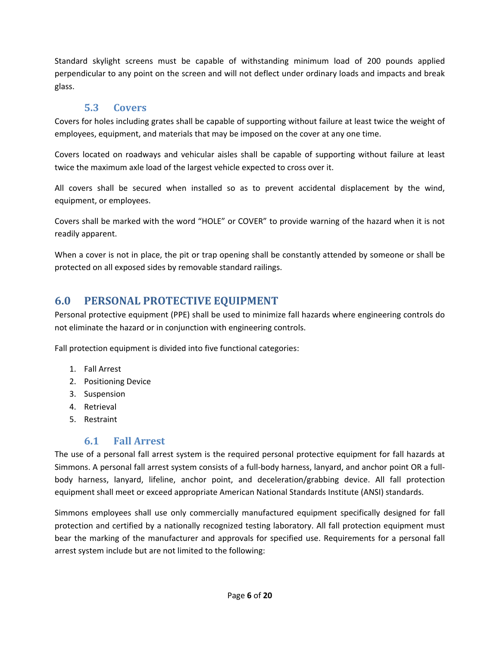Standard skylight screens must be capable of withstanding minimum load of 200 pounds applied perpendicular to any point on the screen and will not deflect under ordinary loads and impacts and break glass.

#### **5.3 Covers**

Covers for holes including grates shall be capable of supporting without failure at least twice the weight of employees, equipment, and materials that may be imposed on the cover at any one time.

Covers located on roadways and vehicular aisles shall be capable of supporting without failure at least twice the maximum axle load of the largest vehicle expected to cross over it.

All covers shall be secured when installed so as to prevent accidental displacement by the wind, equipment, or employees.

Covers shall be marked with the word "HOLE" or COVER" to provide warning of the hazard when it is not readily apparent.

When a cover is not in place, the pit or trap opening shall be constantly attended by someone or shall be protected on all exposed sides by removable standard railings.

### **6.0 PERSONAL PROTECTIVE EQUIPMENT**

Personal protective equipment (PPE) shall be used to minimize fall hazards where engineering controls do not eliminate the hazard or in conjunction with engineering controls.

Fall protection equipment is divided into five functional categories:

- 1. Fall Arrest
- 2. Positioning Device
- 3. Suspension
- 4. Retrieval
- 5. Restraint

#### **6.1 Fall Arrest**

The use of a personal fall arrest system is the required personal protective equipment for fall hazards at Simmons. A personal fall arrest system consists of a full‐body harness, lanyard, and anchor point OR a full‐ body harness, lanyard, lifeline, anchor point, and deceleration/grabbing device. All fall protection equipment shall meet or exceed appropriate American National Standards Institute (ANSI) standards.

Simmons employees shall use only commercially manufactured equipment specifically designed for fall protection and certified by a nationally recognized testing laboratory. All fall protection equipment must bear the marking of the manufacturer and approvals for specified use. Requirements for a personal fall arrest system include but are not limited to the following: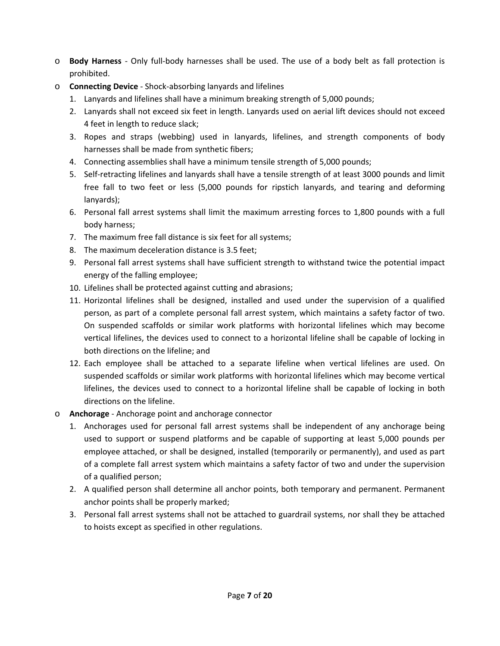- o **Body Harness** ‐ Only full‐body harnesses shall be used. The use of a body belt as fall protection is prohibited.
- o **Connecting Device** ‐ Shock‐absorbing lanyards and lifelines
	- 1. Lanyards and lifelines shall have a minimum breaking strength of 5,000 pounds;
	- 2. Lanyards shall not exceed six feet in length. Lanyards used on aerial lift devices should not exceed 4 feet in length to reduce slack;
	- 3. Ropes and straps (webbing) used in lanyards, lifelines, and strength components of body harnesses shall be made from synthetic fibers;
	- 4. Connecting assemblies shall have a minimum tensile strength of 5,000 pounds;
	- 5. Self-retracting lifelines and lanyards shall have a tensile strength of at least 3000 pounds and limit free fall to two feet or less (5,000 pounds for ripstich lanyards, and tearing and deforming lanyards);
	- 6. Personal fall arrest systems shall limit the maximum arresting forces to 1,800 pounds with a full body harness;
	- 7. The maximum free fall distance is six feet for all systems;
	- 8. The maximum deceleration distance is 3.5 feet;
	- 9. Personal fall arrest systems shall have sufficient strength to withstand twice the potential impact energy of the falling employee;
	- 10. Lifelines shall be protected against cutting and abrasions;
	- 11. Horizontal lifelines shall be designed, installed and used under the supervision of a qualified person, as part of a complete personal fall arrest system, which maintains a safety factor of two. On suspended scaffolds or similar work platforms with horizontal lifelines which may become vertical lifelines, the devices used to connect to a horizontal lifeline shall be capable of locking in both directions on the lifeline; and
	- 12. Each employee shall be attached to a separate lifeline when vertical lifelines are used. On suspended scaffolds or similar work platforms with horizontal lifelines which may become vertical lifelines, the devices used to connect to a horizontal lifeline shall be capable of locking in both directions on the lifeline.
- o **Anchorage** ‐ Anchorage point and anchorage connector
	- 1. Anchorages used for personal fall arrest systems shall be independent of any anchorage being used to support or suspend platforms and be capable of supporting at least 5,000 pounds per employee attached, or shall be designed, installed (temporarily or permanently), and used as part of a complete fall arrest system which maintains a safety factor of two and under the supervision of a qualified person;
	- 2. A qualified person shall determine all anchor points, both temporary and permanent. Permanent anchor points shall be properly marked;
	- 3. Personal fall arrest systems shall not be attached to guardrail systems, nor shall they be attached to hoists except as specified in other regulations.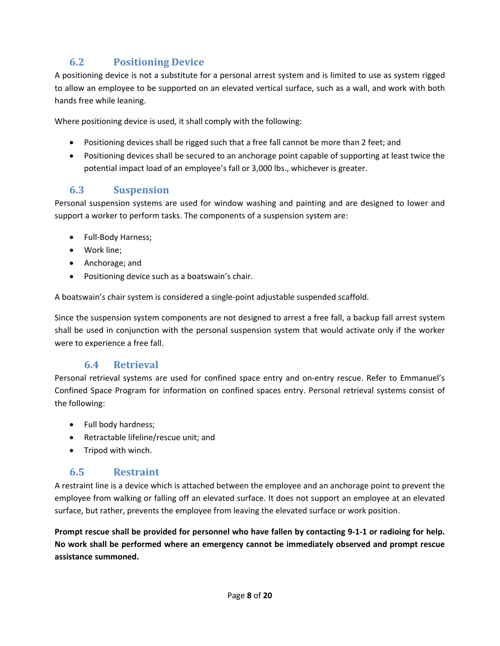## **6.2 Positioning Device**

A positioning device is not a substitute for a personal arrest system and is limited to use as system rigged to allow an employee to be supported on an elevated vertical surface, such as a wall, and work with both hands free while leaning.

Where positioning device is used, it shall comply with the following:

- Positioning devices shall be rigged such that a free fall cannot be more than 2 feet; and
- Positioning devices shall be secured to an anchorage point capable of supporting at least twice the potential impact load of an employee's fall or 3,000 lbs., whichever is greater.

#### **6.3 Suspension**

Personal suspension systems are used for window washing and painting and are designed to lower and support a worker to perform tasks. The components of a suspension system are:

- Full-Body Harness;
- Work line;
- Anchorage; and
- Positioning device such as a boatswain's chair.

A boatswain's chair system is considered a single‐point adjustable suspended scaffold.

Since the suspension system components are not designed to arrest a free fall, a backup fall arrest system shall be used in conjunction with the personal suspension system that would activate only if the worker were to experience a free fall.

#### **6.4 Retrieval**

Personal retrieval systems are used for confined space entry and on‐entry rescue. Refer to Emmanuel's Confined Space Program for information on confined spaces entry. Personal retrieval systems consist of the following:

- Full body hardness;
- Retractable lifeline/rescue unit; and
- Tripod with winch.

#### **6.5 Restraint**

A restraint line is a device which is attached between the employee and an anchorage point to prevent the employee from walking or falling off an elevated surface. It does not support an employee at an elevated surface, but rather, prevents the employee from leaving the elevated surface or work position.

Prompt rescue shall be provided for personnel who have fallen by contacting 9-1-1 or radioing for help. **No work shall be performed where an emergency cannot be immediately observed and prompt rescue assistance summoned.**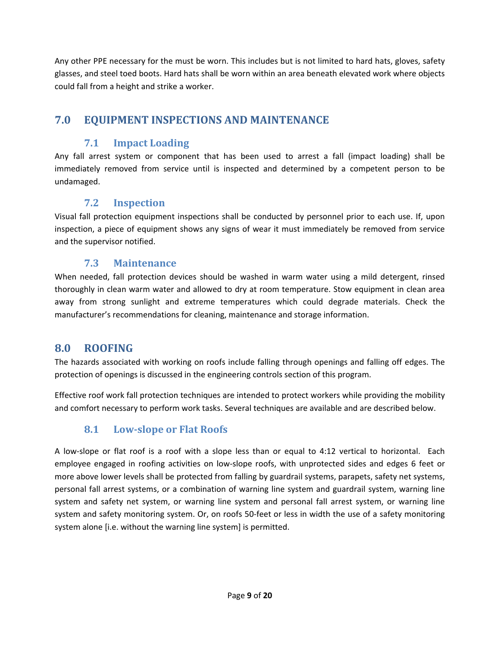Any other PPE necessary for the must be worn. This includes but is not limited to hard hats, gloves, safety glasses, and steel toed boots. Hard hats shall be worn within an area beneath elevated work where objects could fall from a height and strike a worker.

## **7.0 EQUIPMENT INSPECTIONS AND MAINTENANCE**

### **7.1 Impact Loading**

Any fall arrest system or component that has been used to arrest a fall (impact loading) shall be immediately removed from service until is inspected and determined by a competent person to be undamaged.

#### **7.2 Inspection**

Visual fall protection equipment inspections shall be conducted by personnel prior to each use. If, upon inspection, a piece of equipment shows any signs of wear it must immediately be removed from service and the supervisor notified.

#### **7.3 Maintenance**

When needed, fall protection devices should be washed in warm water using a mild detergent, rinsed thoroughly in clean warm water and allowed to dry at room temperature. Stow equipment in clean area away from strong sunlight and extreme temperatures which could degrade materials. Check the manufacturer's recommendations for cleaning, maintenance and storage information.

### **8.0 ROOFING**

The hazards associated with working on roofs include falling through openings and falling off edges. The protection of openings is discussed in the engineering controls section of this program.

Effective roof work fall protection techniques are intended to protect workers while providing the mobility and comfort necessary to perform work tasks. Several techniques are available and are described below.

### **8.1 Low‐slope or Flat Roofs**

A low‐slope or flat roof is a roof with a slope less than or equal to 4:12 vertical to horizontal. Each employee engaged in roofing activities on low‐slope roofs, with unprotected sides and edges 6 feet or more above lower levels shall be protected from falling by guardrail systems, parapets, safety net systems, personal fall arrest systems, or a combination of warning line system and guardrail system, warning line system and safety net system, or warning line system and personal fall arrest system, or warning line system and safety monitoring system. Or, on roofs 50‐feet or less in width the use of a safety monitoring system alone [i.e. without the warning line system] is permitted.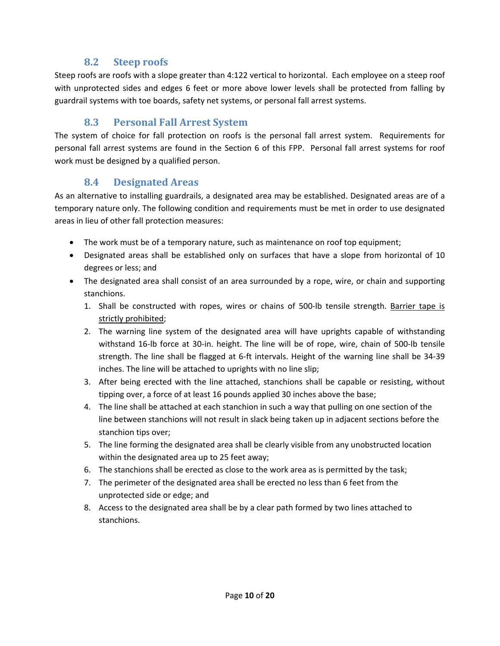#### **8.2 Steep roofs**

Steep roofs are roofs with a slope greater than 4:122 vertical to horizontal. Each employee on a steep roof with unprotected sides and edges 6 feet or more above lower levels shall be protected from falling by guardrail systems with toe boards, safety net systems, or personal fall arrest systems.

#### **8.3 Personal Fall Arrest System**

The system of choice for fall protection on roofs is the personal fall arrest system. Requirements for personal fall arrest systems are found in the Section 6 of this FPP. Personal fall arrest systems for roof work must be designed by a qualified person.

#### **8.4 Designated Areas**

As an alternative to installing guardrails, a designated area may be established. Designated areas are of a temporary nature only. The following condition and requirements must be met in order to use designated areas in lieu of other fall protection measures:

- The work must be of a temporary nature, such as maintenance on roof top equipment;
- Designated areas shall be established only on surfaces that have a slope from horizontal of 10 degrees or less; and
- The designated area shall consist of an area surrounded by a rope, wire, or chain and supporting stanchions.
	- 1. Shall be constructed with ropes, wires or chains of 500‐lb tensile strength. Barrier tape is strictly prohibited;
	- 2. The warning line system of the designated area will have uprights capable of withstanding withstand 16‐lb force at 30‐in. height. The line will be of rope, wire, chain of 500‐lb tensile strength. The line shall be flagged at 6‐ft intervals. Height of the warning line shall be 34‐39 inches. The line will be attached to uprights with no line slip;
	- 3. After being erected with the line attached, stanchions shall be capable or resisting, without tipping over, a force of at least 16 pounds applied 30 inches above the base;
	- 4. The line shall be attached at each stanchion in such a way that pulling on one section of the line between stanchions will not result in slack being taken up in adjacent sections before the stanchion tips over;
	- 5. The line forming the designated area shall be clearly visible from any unobstructed location within the designated area up to 25 feet away;
	- 6. The stanchions shall be erected as close to the work area as is permitted by the task;
	- 7. The perimeter of the designated area shall be erected no less than 6 feet from the unprotected side or edge; and
	- 8. Access to the designated area shall be by a clear path formed by two lines attached to stanchions.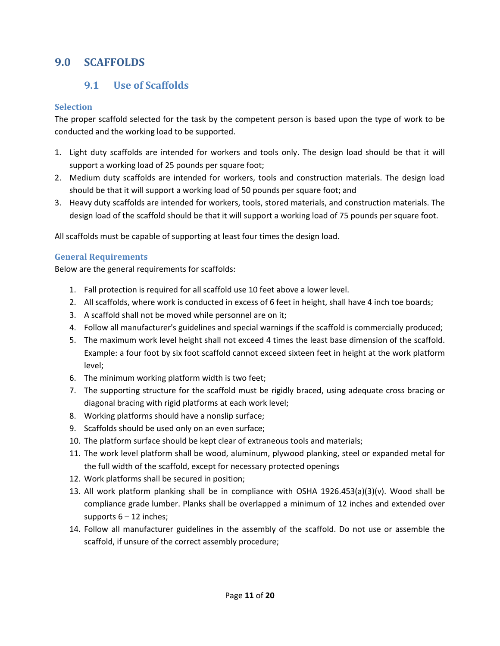### **9.0 SCAFFOLDS**

#### **9.1 Use of Scaffolds**

#### **Selection**

The proper scaffold selected for the task by the competent person is based upon the type of work to be conducted and the working load to be supported.

- 1. Light duty scaffolds are intended for workers and tools only. The design load should be that it will support a working load of 25 pounds per square foot;
- 2. Medium duty scaffolds are intended for workers, tools and construction materials. The design load should be that it will support a working load of 50 pounds per square foot; and
- 3. Heavy duty scaffolds are intended for workers, tools, stored materials, and construction materials. The design load of the scaffold should be that it will support a working load of 75 pounds per square foot.

All scaffolds must be capable of supporting at least four times the design load.

#### **General Requirements**

Below are the general requirements for scaffolds:

- 1. Fall protection is required for all scaffold use 10 feet above a lower level.
- 2. All scaffolds, where work is conducted in excess of 6 feet in height, shall have 4 inch toe boards;
- 3. A scaffold shall not be moved while personnel are on it;
- 4. Follow all manufacturer's guidelines and special warnings if the scaffold is commercially produced;
- 5. The maximum work level height shall not exceed 4 times the least base dimension of the scaffold. Example: a four foot by six foot scaffold cannot exceed sixteen feet in height at the work platform level;
- 6. The minimum working platform width is two feet;
- 7. The supporting structure for the scaffold must be rigidly braced, using adequate cross bracing or diagonal bracing with rigid platforms at each work level;
- 8. Working platforms should have a nonslip surface;
- 9. Scaffolds should be used only on an even surface;
- 10. The platform surface should be kept clear of extraneous tools and materials;
- 11. The work level platform shall be wood, aluminum, plywood planking, steel or expanded metal for the full width of the scaffold, except for necessary protected openings
- 12. Work platforms shall be secured in position;
- 13. All work platform planking shall be in compliance with OSHA 1926.453(a)(3)(v). Wood shall be compliance grade lumber. Planks shall be overlapped a minimum of 12 inches and extended over supports  $6 - 12$  inches;
- 14. Follow all manufacturer guidelines in the assembly of the scaffold. Do not use or assemble the scaffold, if unsure of the correct assembly procedure;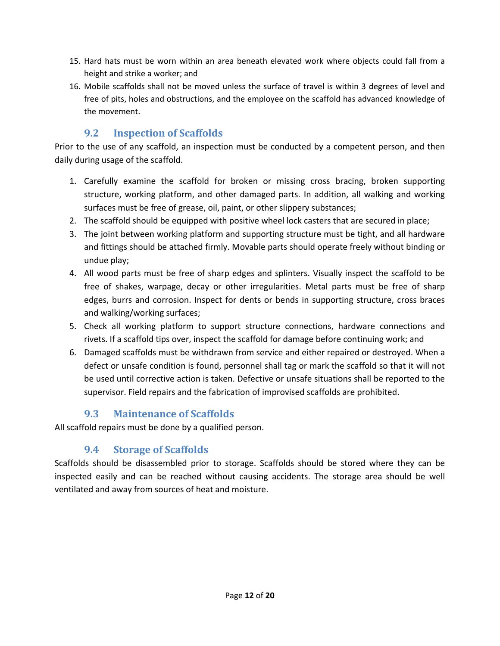- 15. Hard hats must be worn within an area beneath elevated work where objects could fall from a height and strike a worker; and
- 16. Mobile scaffolds shall not be moved unless the surface of travel is within 3 degrees of level and free of pits, holes and obstructions, and the employee on the scaffold has advanced knowledge of the movement.

### **9.2 Inspection of Scaffolds**

Prior to the use of any scaffold, an inspection must be conducted by a competent person, and then daily during usage of the scaffold.

- 1. Carefully examine the scaffold for broken or missing cross bracing, broken supporting structure, working platform, and other damaged parts. In addition, all walking and working surfaces must be free of grease, oil, paint, or other slippery substances;
- 2. The scaffold should be equipped with positive wheel lock casters that are secured in place;
- 3. The joint between working platform and supporting structure must be tight, and all hardware and fittings should be attached firmly. Movable parts should operate freely without binding or undue play;
- 4. All wood parts must be free of sharp edges and splinters. Visually inspect the scaffold to be free of shakes, warpage, decay or other irregularities. Metal parts must be free of sharp edges, burrs and corrosion. Inspect for dents or bends in supporting structure, cross braces and walking/working surfaces;
- 5. Check all working platform to support structure connections, hardware connections and rivets. If a scaffold tips over, inspect the scaffold for damage before continuing work; and
- 6. Damaged scaffolds must be withdrawn from service and either repaired or destroyed. When a defect or unsafe condition is found, personnel shall tag or mark the scaffold so that it will not be used until corrective action is taken. Defective or unsafe situations shall be reported to the supervisor. Field repairs and the fabrication of improvised scaffolds are prohibited.

### **9.3 Maintenance of Scaffolds**

All scaffold repairs must be done by a qualified person.

### **9.4 Storage of Scaffolds**

Scaffolds should be disassembled prior to storage. Scaffolds should be stored where they can be inspected easily and can be reached without causing accidents. The storage area should be well ventilated and away from sources of heat and moisture.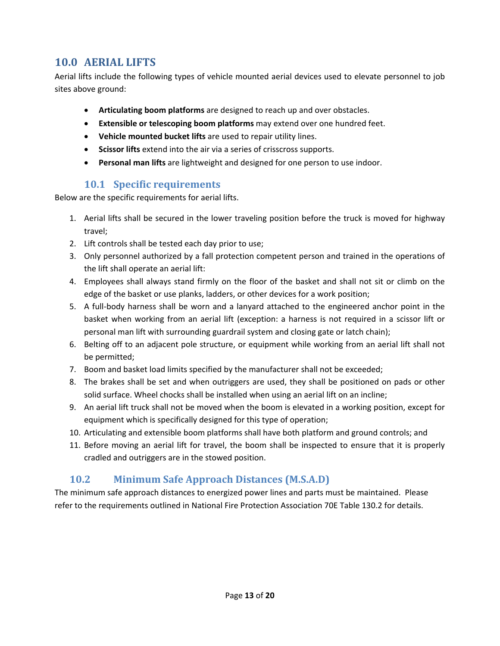### **10.0 AERIAL LIFTS**

Aerial lifts include the following types of vehicle mounted aerial devices used to elevate personnel to job sites above ground:

- **Articulating boom platforms** are designed to reach up and over obstacles.
- **Extensible or telescoping boom platforms** may extend over one hundred feet.
- **Vehicle mounted bucket lifts** are used to repair utility lines.
- **Scissor lifts** extend into the air via a series of crisscross supports.
- **Personal man lifts** are lightweight and designed for one person to use indoor.

#### **10.1 Specific requirements**

Below are the specific requirements for aerial lifts.

- 1. Aerial lifts shall be secured in the lower traveling position before the truck is moved for highway travel;
- 2. Lift controls shall be tested each day prior to use;
- 3. Only personnel authorized by a fall protection competent person and trained in the operations of the lift shall operate an aerial lift:
- 4. Employees shall always stand firmly on the floor of the basket and shall not sit or climb on the edge of the basket or use planks, ladders, or other devices for a work position;
- 5. A full-body harness shall be worn and a lanyard attached to the engineered anchor point in the basket when working from an aerial lift (exception: a harness is not required in a scissor lift or personal man lift with surrounding guardrail system and closing gate or latch chain);
- 6. Belting off to an adjacent pole structure, or equipment while working from an aerial lift shall not be permitted;
- 7. Boom and basket load limits specified by the manufacturer shall not be exceeded;
- 8. The brakes shall be set and when outriggers are used, they shall be positioned on pads or other solid surface. Wheel chocks shall be installed when using an aerial lift on an incline;
- 9. An aerial lift truck shall not be moved when the boom is elevated in a working position, except for equipment which is specifically designed for this type of operation;
- 10. Articulating and extensible boom platforms shall have both platform and ground controls; and
- 11. Before moving an aerial lift for travel, the boom shall be inspected to ensure that it is properly cradled and outriggers are in the stowed position.

### **10.2 Minimum Safe Approach Distances (M.S.A.D)**

The minimum safe approach distances to energized power lines and parts must be maintained. Please refer to the requirements outlined in National Fire Protection Association 70E Table 130.2 for details.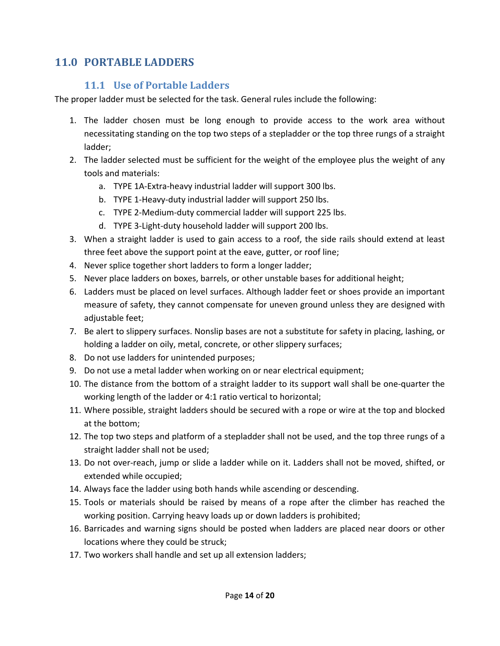## **11.0 PORTABLE LADDERS**

#### **11.1 Use of Portable Ladders**

The proper ladder must be selected for the task. General rules include the following:

- 1. The ladder chosen must be long enough to provide access to the work area without necessitating standing on the top two steps of a stepladder or the top three rungs of a straight ladder;
- 2. The ladder selected must be sufficient for the weight of the employee plus the weight of any tools and materials:
	- a. TYPE 1A‐Extra‐heavy industrial ladder will support 300 lbs.
	- b. TYPE 1‐Heavy‐duty industrial ladder will support 250 lbs.
	- c. TYPE 2‐Medium‐duty commercial ladder will support 225 lbs.
	- d. TYPE 3‐Light‐duty household ladder will support 200 lbs.
- 3. When a straight ladder is used to gain access to a roof, the side rails should extend at least three feet above the support point at the eave, gutter, or roof line;
- 4. Never splice together short ladders to form a longer ladder;
- 5. Never place ladders on boxes, barrels, or other unstable bases for additional height;
- 6. Ladders must be placed on level surfaces. Although ladder feet or shoes provide an important measure of safety, they cannot compensate for uneven ground unless they are designed with adjustable feet;
- 7. Be alert to slippery surfaces. Nonslip bases are not a substitute for safety in placing, lashing, or holding a ladder on oily, metal, concrete, or other slippery surfaces;
- 8. Do not use ladders for unintended purposes;
- 9. Do not use a metal ladder when working on or near electrical equipment;
- 10. The distance from the bottom of a straight ladder to its support wall shall be one-quarter the working length of the ladder or 4:1 ratio vertical to horizontal;
- 11. Where possible, straight ladders should be secured with a rope or wire at the top and blocked at the bottom;
- 12. The top two steps and platform of a stepladder shall not be used, and the top three rungs of a straight ladder shall not be used;
- 13. Do not over‐reach, jump or slide a ladder while on it. Ladders shall not be moved, shifted, or extended while occupied;
- 14. Always face the ladder using both hands while ascending or descending.
- 15. Tools or materials should be raised by means of a rope after the climber has reached the working position. Carrying heavy loads up or down ladders is prohibited;
- 16. Barricades and warning signs should be posted when ladders are placed near doors or other locations where they could be struck;
- 17. Two workers shall handle and set up all extension ladders;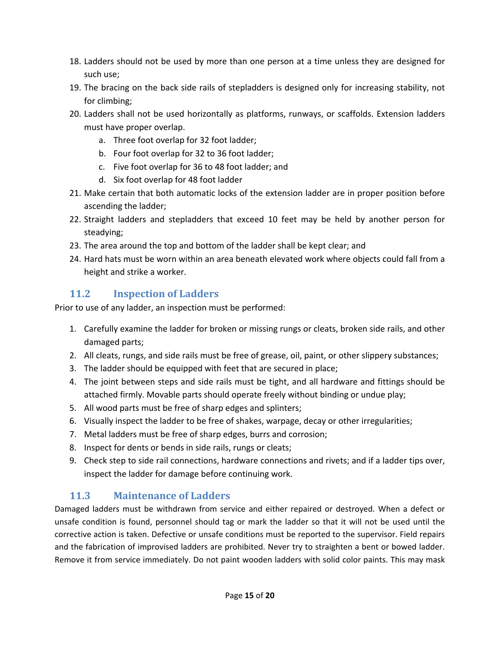- 18. Ladders should not be used by more than one person at a time unless they are designed for such use;
- 19. The bracing on the back side rails of stepladders is designed only for increasing stability, not for climbing;
- 20. Ladders shall not be used horizontally as platforms, runways, or scaffolds. Extension ladders must have proper overlap.
	- a. Three foot overlap for 32 foot ladder;
	- b. Four foot overlap for 32 to 36 foot ladder;
	- c. Five foot overlap for 36 to 48 foot ladder; and
	- d. Six foot overlap for 48 foot ladder
- 21. Make certain that both automatic locks of the extension ladder are in proper position before ascending the ladder;
- 22. Straight ladders and stepladders that exceed 10 feet may be held by another person for steadying;
- 23. The area around the top and bottom of the ladder shall be kept clear; and
- 24. Hard hats must be worn within an area beneath elevated work where objects could fall from a height and strike a worker.

### **11.2 Inspection of Ladders**

Prior to use of any ladder, an inspection must be performed:

- 1. Carefully examine the ladder for broken or missing rungs or cleats, broken side rails, and other damaged parts;
- 2. All cleats, rungs, and side rails must be free of grease, oil, paint, or other slippery substances;
- 3. The ladder should be equipped with feet that are secured in place;
- 4. The joint between steps and side rails must be tight, and all hardware and fittings should be attached firmly. Movable parts should operate freely without binding or undue play;
- 5. All wood parts must be free of sharp edges and splinters;
- 6. Visually inspect the ladder to be free of shakes, warpage, decay or other irregularities;
- 7. Metal ladders must be free of sharp edges, burrs and corrosion;
- 8. Inspect for dents or bends in side rails, rungs or cleats;
- 9. Check step to side rail connections, hardware connections and rivets; and if a ladder tips over, inspect the ladder for damage before continuing work.

### **11.3 Maintenance of Ladders**

Damaged ladders must be withdrawn from service and either repaired or destroyed. When a defect or unsafe condition is found, personnel should tag or mark the ladder so that it will not be used until the corrective action is taken. Defective or unsafe conditions must be reported to the supervisor. Field repairs and the fabrication of improvised ladders are prohibited. Never try to straighten a bent or bowed ladder. Remove it from service immediately. Do not paint wooden ladders with solid color paints. This may mask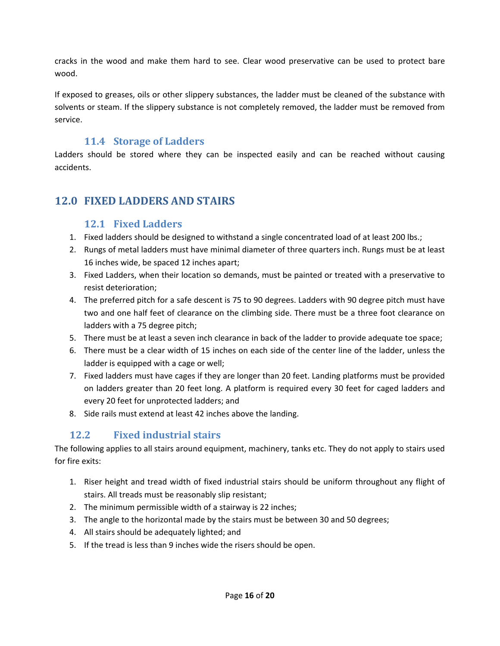cracks in the wood and make them hard to see. Clear wood preservative can be used to protect bare wood.

If exposed to greases, oils or other slippery substances, the ladder must be cleaned of the substance with solvents or steam. If the slippery substance is not completely removed, the ladder must be removed from service.

#### **11.4 Storage of Ladders**

Ladders should be stored where they can be inspected easily and can be reached without causing accidents.

### **12.0 FIXED LADDERS AND STAIRS**

#### **12.1 Fixed Ladders**

- 1. Fixed ladders should be designed to withstand a single concentrated load of at least 200 lbs.;
- 2. Rungs of metal ladders must have minimal diameter of three quarters inch. Rungs must be at least 16 inches wide, be spaced 12 inches apart;
- 3. Fixed Ladders, when their location so demands, must be painted or treated with a preservative to resist deterioration;
- 4. The preferred pitch for a safe descent is 75 to 90 degrees. Ladders with 90 degree pitch must have two and one half feet of clearance on the climbing side. There must be a three foot clearance on ladders with a 75 degree pitch;
- 5. There must be at least a seven inch clearance in back of the ladder to provide adequate toe space;
- 6. There must be a clear width of 15 inches on each side of the center line of the ladder, unless the ladder is equipped with a cage or well;
- 7. Fixed ladders must have cages if they are longer than 20 feet. Landing platforms must be provided on ladders greater than 20 feet long. A platform is required every 30 feet for caged ladders and every 20 feet for unprotected ladders; and
- 8. Side rails must extend at least 42 inches above the landing.

### **12.2 Fixed industrial stairs**

The following applies to all stairs around equipment, machinery, tanks etc. They do not apply to stairs used for fire exits:

- 1. Riser height and tread width of fixed industrial stairs should be uniform throughout any flight of stairs. All treads must be reasonably slip resistant;
- 2. The minimum permissible width of a stairway is 22 inches;
- 3. The angle to the horizontal made by the stairs must be between 30 and 50 degrees;
- 4. All stairs should be adequately lighted; and
- 5. If the tread is less than 9 inches wide the risers should be open.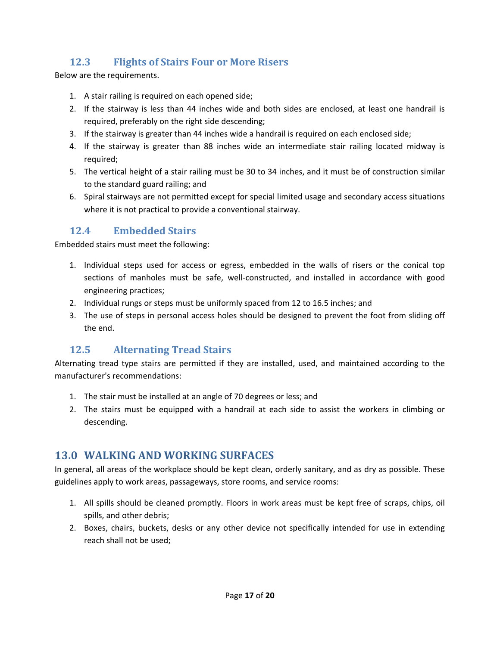# **12.3 Flights of Stairs Four or More Risers**

Below are the requirements.

- 1. A stair railing is required on each opened side;
- 2. If the stairway is less than 44 inches wide and both sides are enclosed, at least one handrail is required, preferably on the right side descending;
- 3. If the stairway is greater than 44 inches wide a handrail is required on each enclosed side;
- 4. If the stairway is greater than 88 inches wide an intermediate stair railing located midway is required;
- 5. The vertical height of a stair railing must be 30 to 34 inches, and it must be of construction similar to the standard guard railing; and
- 6. Spiral stairways are not permitted except for special limited usage and secondary access situations where it is not practical to provide a conventional stairway.

#### **12.4 Embedded Stairs**

Embedded stairs must meet the following:

- 1. Individual steps used for access or egress, embedded in the walls of risers or the conical top sections of manholes must be safe, well-constructed, and installed in accordance with good engineering practices;
- 2. Individual rungs or steps must be uniformly spaced from 12 to 16.5 inches; and
- 3. The use of steps in personal access holes should be designed to prevent the foot from sliding off the end.

#### **12.5 Alternating Tread Stairs**

Alternating tread type stairs are permitted if they are installed, used, and maintained according to the manufacturer's recommendations:

- 1. The stair must be installed at an angle of 70 degrees or less; and
- 2. The stairs must be equipped with a handrail at each side to assist the workers in climbing or descending.

#### **13.0 WALKING AND WORKING SURFACES**

In general, all areas of the workplace should be kept clean, orderly sanitary, and as dry as possible. These guidelines apply to work areas, passageways, store rooms, and service rooms:

- 1. All spills should be cleaned promptly. Floors in work areas must be kept free of scraps, chips, oil spills, and other debris;
- 2. Boxes, chairs, buckets, desks or any other device not specifically intended for use in extending reach shall not be used;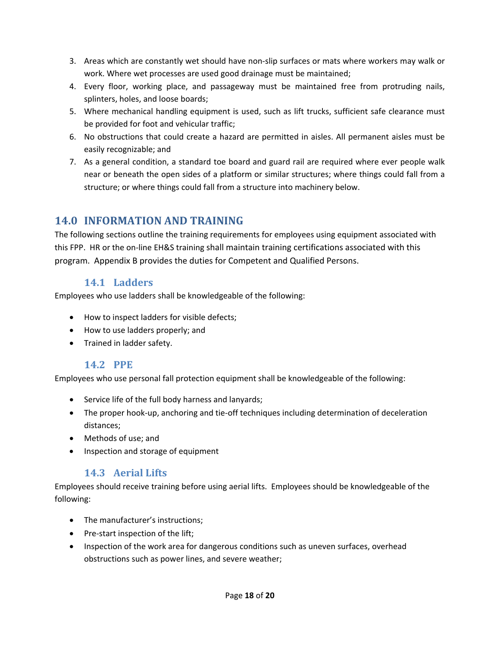- 3. Areas which are constantly wet should have non‐slip surfaces or mats where workers may walk or work. Where wet processes are used good drainage must be maintained;
- 4. Every floor, working place, and passageway must be maintained free from protruding nails, splinters, holes, and loose boards;
- 5. Where mechanical handling equipment is used, such as lift trucks, sufficient safe clearance must be provided for foot and vehicular traffic;
- 6. No obstructions that could create a hazard are permitted in aisles. All permanent aisles must be easily recognizable; and
- 7. As a general condition, a standard toe board and guard rail are required where ever people walk near or beneath the open sides of a platform or similar structures; where things could fall from a structure; or where things could fall from a structure into machinery below.

### **14.0 INFORMATION AND TRAINING**

The following sections outline the training requirements for employees using equipment associated with this FPP. HR or the on‐line EH&S training shall maintain training certifications associated with this program. Appendix B provides the duties for Competent and Qualified Persons.

#### **14.1 Ladders**

Employees who use ladders shall be knowledgeable of the following:

- How to inspect ladders for visible defects;
- How to use ladders properly; and
- **•** Trained in ladder safety.

#### 14.2 **PPE**

Employees who use personal fall protection equipment shall be knowledgeable of the following:

- Service life of the full body harness and lanyards;
- The proper hook-up, anchoring and tie-off techniques including determination of deceleration distances;
- Methods of use; and
- Inspection and storage of equipment

#### **14.3 Aerial Lifts**

Employees should receive training before using aerial lifts. Employees should be knowledgeable of the following:

- The manufacturer's instructions;
- Pre-start inspection of the lift;
- Inspection of the work area for dangerous conditions such as uneven surfaces, overhead obstructions such as power lines, and severe weather;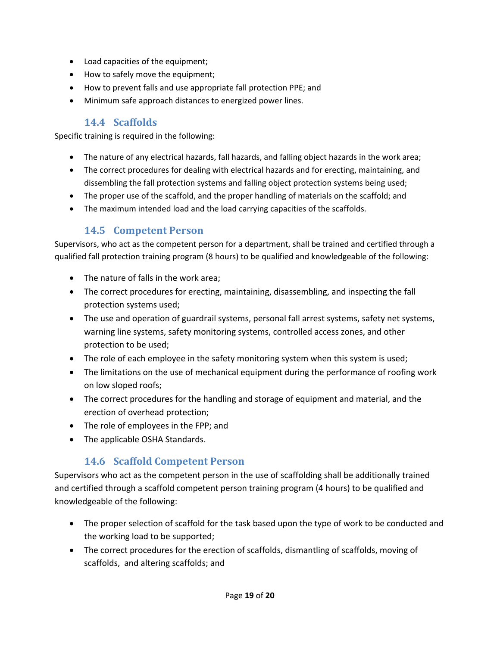- Load capacities of the equipment;
- How to safely move the equipment;
- How to prevent falls and use appropriate fall protection PPE; and
- Minimum safe approach distances to energized power lines.

#### **14.4 Scaffolds**

Specific training is required in the following:

- The nature of any electrical hazards, fall hazards, and falling object hazards in the work area;
- The correct procedures for dealing with electrical hazards and for erecting, maintaining, and dissembling the fall protection systems and falling object protection systems being used;
- The proper use of the scaffold, and the proper handling of materials on the scaffold; and
- The maximum intended load and the load carrying capacities of the scaffolds.

### **14.5 Competent Person**

Supervisors, who act as the competent person for a department, shall be trained and certified through a qualified fall protection training program (8 hours) to be qualified and knowledgeable of the following:

- The nature of falls in the work area;
- The correct procedures for erecting, maintaining, disassembling, and inspecting the fall protection systems used;
- The use and operation of guardrail systems, personal fall arrest systems, safety net systems, warning line systems, safety monitoring systems, controlled access zones, and other protection to be used;
- The role of each employee in the safety monitoring system when this system is used;
- The limitations on the use of mechanical equipment during the performance of roofing work on low sloped roofs;
- The correct procedures for the handling and storage of equipment and material, and the erection of overhead protection;
- The role of employees in the FPP; and
- The applicable OSHA Standards.

### **14.6 Scaffold Competent Person**

Supervisors who act as the competent person in the use of scaffolding shall be additionally trained and certified through a scaffold competent person training program (4 hours) to be qualified and knowledgeable of the following:

- The proper selection of scaffold for the task based upon the type of work to be conducted and the working load to be supported;
- The correct procedures for the erection of scaffolds, dismantling of scaffolds, moving of scaffolds, and altering scaffolds; and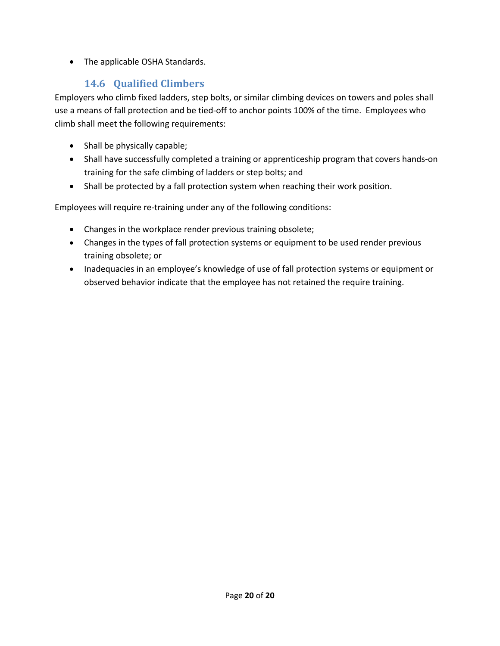• The applicable OSHA Standards.

### **14.6 Qualified Climbers**

Employers who climb fixed ladders, step bolts, or similar climbing devices on towers and poles shall use a means of fall protection and be tied‐off to anchor points 100% of the time. Employees who climb shall meet the following requirements:

- Shall be physically capable;
- Shall have successfully completed a training or apprenticeship program that covers hands-on training for the safe climbing of ladders or step bolts; and
- Shall be protected by a fall protection system when reaching their work position.

Employees will require re-training under any of the following conditions:

- Changes in the workplace render previous training obsolete;
- Changes in the types of fall protection systems or equipment to be used render previous training obsolete; or
- Inadequacies in an employee's knowledge of use of fall protection systems or equipment or observed behavior indicate that the employee has not retained the require training.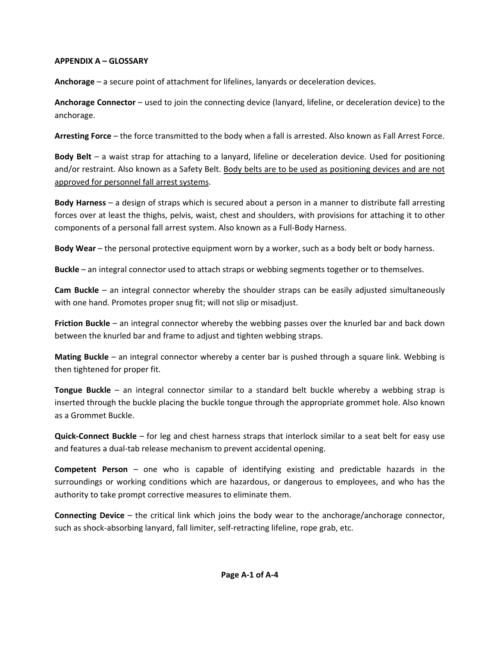#### **APPENDIX A – GLOSSARY**

**Anchorage** – a secure point of attachment for lifelines, lanyards or deceleration devices.

**Anchorage Connector** – used to join the connecting device (lanyard, lifeline, or deceleration device) to the anchorage.

**Arresting Force** – the force transmitted to the body when a fall is arrested. Also known as Fall Arrest Force.

**Body Belt** – a waist strap for attaching to a lanyard, lifeline or deceleration device. Used for positioning and/or restraint. Also known as a Safety Belt. Body belts are to be used as positioning devices and are not approved for personnel fall arrest systems.

**Body Harness** – a design of straps which is secured about a person in a manner to distribute fall arresting forces over at least the thighs, pelvis, waist, chest and shoulders, with provisions for attaching it to other components of a personal fall arrest system. Also known as a Full‐Body Harness.

**Body Wear** – the personal protective equipment worn by a worker, such as a body belt or body harness.

**Buckle** – an integral connector used to attach straps or webbing segments together or to themselves.

**Cam Buckle** – an integral connector whereby the shoulder straps can be easily adjusted simultaneously with one hand. Promotes proper snug fit; will not slip or misadjust.

**Friction Buckle** – an integral connector whereby the webbing passes over the knurled bar and back down between the knurled bar and frame to adjust and tighten webbing straps.

**Mating Buckle** – an integral connector whereby a center bar is pushed through a square link. Webbing is then tightened for proper fit.

**Tongue Buckle** – an integral connector similar to a standard belt buckle whereby a webbing strap is inserted through the buckle placing the buckle tongue through the appropriate grommet hole. Also known as a Grommet Buckle.

**Quick‐Connect Buckle** – for leg and chest harness straps that interlock similar to a seat belt for easy use and features a dual-tab release mechanism to prevent accidental opening.

**Competent Person** – one who is capable of identifying existing and predictable hazards in the surroundings or working conditions which are hazardous, or dangerous to employees, and who has the authority to take prompt corrective measures to eliminate them.

**Connecting Device** – the critical link which joins the body wear to the anchorage/anchorage connector, such as shock-absorbing lanyard, fall limiter, self-retracting lifeline, rope grab, etc.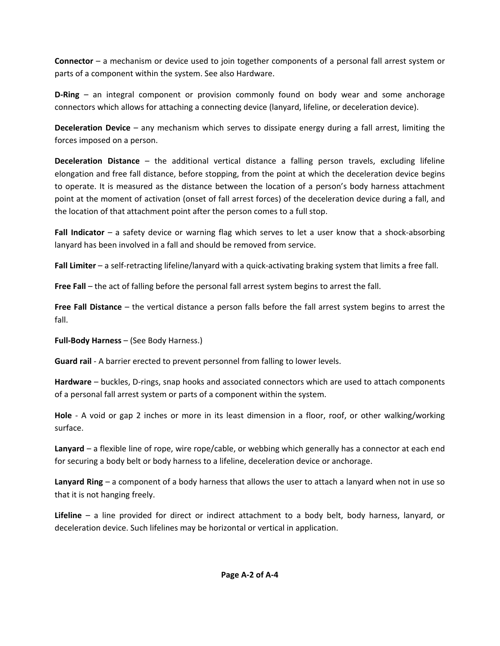**Connector** – a mechanism or device used to join together components of a personal fall arrest system or parts of a component within the system. See also Hardware.

**D‐Ring** – an integral component or provision commonly found on body wear and some anchorage connectors which allows for attaching a connecting device (lanyard, lifeline, or deceleration device).

**Deceleration Device** – any mechanism which serves to dissipate energy during a fall arrest, limiting the forces imposed on a person.

**Deceleration Distance** – the additional vertical distance a falling person travels, excluding lifeline elongation and free fall distance, before stopping, from the point at which the deceleration device begins to operate. It is measured as the distance between the location of a person's body harness attachment point at the moment of activation (onset of fall arrest forces) of the deceleration device during a fall, and the location of that attachment point after the person comes to a full stop.

**Fall Indicator** – a safety device or warning flag which serves to let a user know that a shock‐absorbing lanyard has been involved in a fall and should be removed from service.

**Fall Limiter** – a self‐retracting lifeline/lanyard with a quick‐activating braking system that limits a free fall.

**Free Fall** – the act of falling before the personal fall arrest system begins to arrest the fall.

**Free Fall Distance** – the vertical distance a person falls before the fall arrest system begins to arrest the fall.

**Full‐Body Harness** – (See Body Harness.)

**Guard rail** ‐ A barrier erected to prevent personnel from falling to lower levels.

**Hardware** – buckles, D‐rings, snap hooks and associated connectors which are used to attach components of a personal fall arrest system or parts of a component within the system.

**Hole** ‐ A void or gap 2 inches or more in its least dimension in a floor, roof, or other walking/working surface.

**Lanyard** – a flexible line of rope, wire rope/cable, or webbing which generally has a connector at each end for securing a body belt or body harness to a lifeline, deceleration device or anchorage.

**Lanyard Ring** – a component of a body harness that allows the user to attach a lanyard when not in use so that it is not hanging freely.

**Lifeline** – a line provided for direct or indirect attachment to a body belt, body harness, lanyard, or deceleration device. Such lifelines may be horizontal or vertical in application.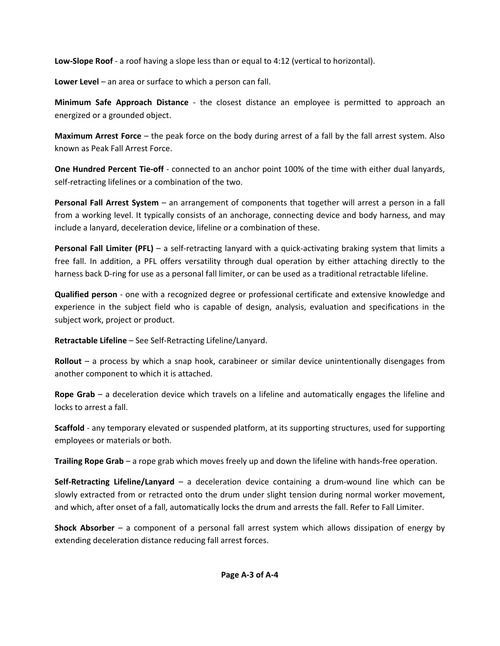**Low‐Slope Roof** ‐ a roof having a slope less than or equal to 4:12 (vertical to horizontal).

**Lower Level** – an area or surface to which a person can fall.

**Minimum Safe Approach Distance** ‐ the closest distance an employee is permitted to approach an energized or a grounded object.

**Maximum Arrest Force** – the peak force on the body during arrest of a fall by the fall arrest system. Also known as Peak Fall Arrest Force.

**One Hundred Percent Tie‐off** ‐ connected to an anchor point 100% of the time with either dual lanyards, self-retracting lifelines or a combination of the two.

**Personal Fall Arrest System** – an arrangement of components that together will arrest a person in a fall from a working level. It typically consists of an anchorage, connecting device and body harness, and may include a lanyard, deceleration device, lifeline or a combination of these.

**Personal Fall Limiter (PFL)** – a self‐retracting lanyard with a quick‐activating braking system that limits a free fall. In addition, a PFL offers versatility through dual operation by either attaching directly to the harness back D‐ring for use as a personal fall limiter, or can be used as a traditional retractable lifeline.

**Qualified person** ‐ one with a recognized degree or professional certificate and extensive knowledge and experience in the subject field who is capable of design, analysis, evaluation and specifications in the subject work, project or product.

**Retractable Lifeline** – See Self‐Retracting Lifeline/Lanyard.

**Rollout** – a process by which a snap hook, carabineer or similar device unintentionally disengages from another component to which it is attached.

**Rope Grab** – a deceleration device which travels on a lifeline and automatically engages the lifeline and locks to arrest a fall.

**Scaffold** ‐ any temporary elevated or suspended platform, at its supporting structures, used for supporting employees or materials or both.

**Trailing Rope Grab** – a rope grab which moves freely up and down the lifeline with hands‐free operation.

**Self‐Retracting Lifeline/Lanyard** – a deceleration device containing a drum‐wound line which can be slowly extracted from or retracted onto the drum under slight tension during normal worker movement, and which, after onset of a fall, automatically locks the drum and arrests the fall. Refer to Fall Limiter.

**Shock Absorber** – a component of a personal fall arrest system which allows dissipation of energy by extending deceleration distance reducing fall arrest forces.